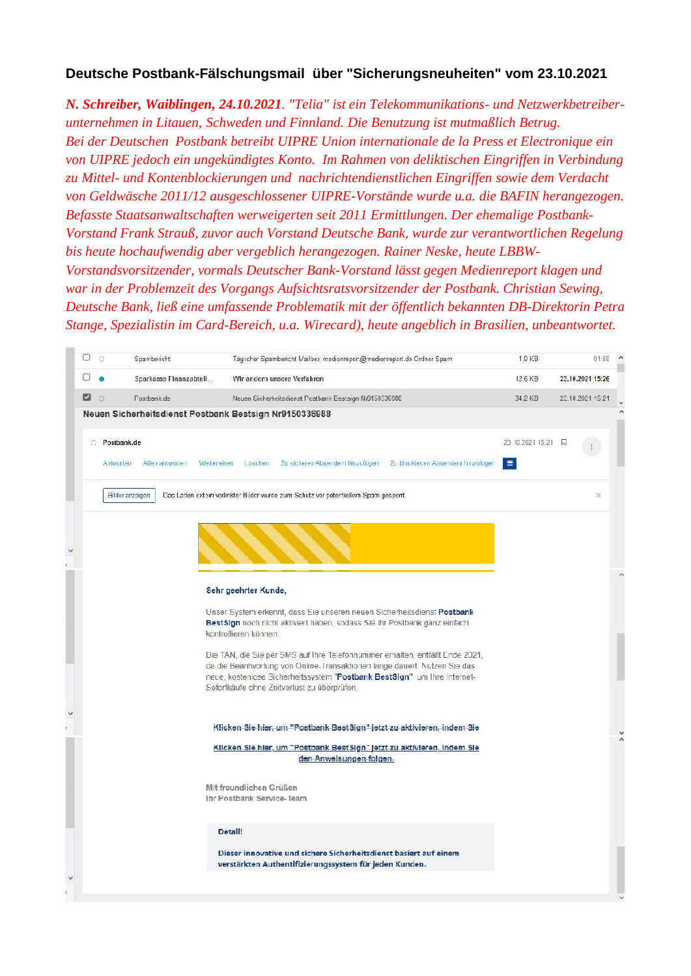## **Deutsche Postbank-Fälschungsmail über "Sicherungsneuheiten" vom 23.10.2021**

*N. Schreiber, Waiblingen, 24.10.2021. "Telia" ist ein Telekommunikations- und Netzwerkbetreiber unternehmen in Litauen, Schweden und Finnland. Die Benutzung ist mutmaßlich Betrug. Bei der Deutschen Postbank betreibt UIPRE Union internationale de la Press et Electronique ein von UIPRE jedoch ein ungekündigtes Konto. Im Rahmen von deliktischen Eingriffen in Verbindung zu Mittel- und Kontenblockierungen und nachrichtendienstlichen Eingriffen sowie dem Verdacht von Geldwäsche 2011/12 ausgeschlossener UIPRE-Vorstände wurde u.a. die BAFIN herangezogen. Befasste Staatsanwaltschaften werweigerten seit 2011 Ermittlungen. Der ehemalige Postbank- Vorstand Frank Strauß, zuvor auch Vorstand Deutsche Bank, wurde zur verantwortlichen Regelung bis heute hochaufwendig aber vergeblich herangezogen. Rainer Neske, heute LBBW- Vorstandsvorsitzender, vormals Deutscher Bank-Vorstand lässt gegen Medienreport klagen und war in der Problemzeit des Vorgangs Aufsichtsratsvorsitzender der Postbank. Christian Sewing, Deutsche Bank, ließ eine umfassende Problematik mit der öffentlich bekannten DB-Direktorin Petra Stange, Spezialistin im Card-Bereich, u.a. Wirecard), heute angeblich in Brasilien, unbeantwortet.*

| □  | $\Omega$ | Spambericht                                  | Täglicher Spambericht Mailbox medienreport@medienreport.de Ordner Spam                                                   | $1,9$ KB           | 01:58                 |  |
|----|----------|----------------------------------------------|--------------------------------------------------------------------------------------------------------------------------|--------------------|-----------------------|--|
|    |          | Sparkasse Finanzabtell                       | Wir andern unsere Verfahren                                                                                              | 12.6 KB            | 23.10.2021 15:26      |  |
| ⊠  | $\Omega$ | Postbank.de                                  | Neuen Sicherheitsdienst Postbank Eestsign Nr9150336988                                                                   | 34.2 KB            | 23.10.2021 15:21      |  |
|    |          |                                              | Neuen Sicherheitsdienst Postbank Bestsign Nr9150336988                                                                   |                    |                       |  |
| O. |          | Postbank.de                                  |                                                                                                                          | 23.10.2021 15:21 风 |                       |  |
|    |          | Allen antworten<br>Weiterleiten<br>Antworten | Löschen<br>Zu sicheren Abser dem hinzufügen Zu blockierten Absendem hinzufüger                                           | 目                  |                       |  |
|    |          |                                              |                                                                                                                          |                    |                       |  |
|    |          | Bilder anzeigen                              | Das Laden extern verlinkter Bilder wurde zum Schutz vor potentiellem Spam gespent.                                       |                    | $\boldsymbol{\times}$ |  |
|    |          |                                              |                                                                                                                          |                    |                       |  |
|    |          |                                              |                                                                                                                          |                    |                       |  |
|    |          |                                              |                                                                                                                          |                    |                       |  |
|    |          |                                              |                                                                                                                          |                    |                       |  |
|    |          |                                              | Sehr geehrter Kunde,                                                                                                     |                    |                       |  |
|    |          |                                              | Unser System erkennt, dass Sie unseren neuen Sicherheitsdienst Postbank                                                  |                    |                       |  |
|    |          |                                              | BestSign noch nicht aktiviert haben, sodass Sie Ihr Postbank ganz einfach<br>kontrollieren können:                       |                    |                       |  |
|    |          |                                              | Die TAN, die Sie per SMS auf Ihre Telefonnummer erhalten, entfällt Ende 2021,                                            |                    |                       |  |
|    |          |                                              | da die Beantwortung von Online-Transaktionen lange dauert. Nutzen Sie das                                                |                    |                       |  |
|    |          |                                              | neue, kosteniose Sicherheitssystem "Postbank BestSign", um Ihre Internet-<br>Sofortkäufe chne Zeitverlust zu überprüfen. |                    |                       |  |
|    |          |                                              |                                                                                                                          |                    |                       |  |
|    |          |                                              | Klicken Sie hier, um "Postbank Best Sign" jetzt zu aktivieren, indem Sie                                                 |                    |                       |  |
|    |          |                                              | Klicken Sie hier, um "Postbank Best Sign" jetzt zu aktivieren, Indem Sie                                                 |                    |                       |  |
|    |          |                                              | den Anweisungen folgen.                                                                                                  |                    |                       |  |
|    |          |                                              | Mit freundlichen Grüßen                                                                                                  |                    |                       |  |
|    |          |                                              | Ihr Postbank Service-Team                                                                                                |                    |                       |  |
|    |          |                                              |                                                                                                                          |                    |                       |  |
|    |          |                                              | Detail!                                                                                                                  |                    |                       |  |
|    |          |                                              | Dieser innovative und sichere Sicherheitsdienst basiert auf einem                                                        |                    |                       |  |
|    |          |                                              | verstärkten Authentifizierungssystem für jeden Kunden.                                                                   |                    |                       |  |
|    |          |                                              |                                                                                                                          |                    |                       |  |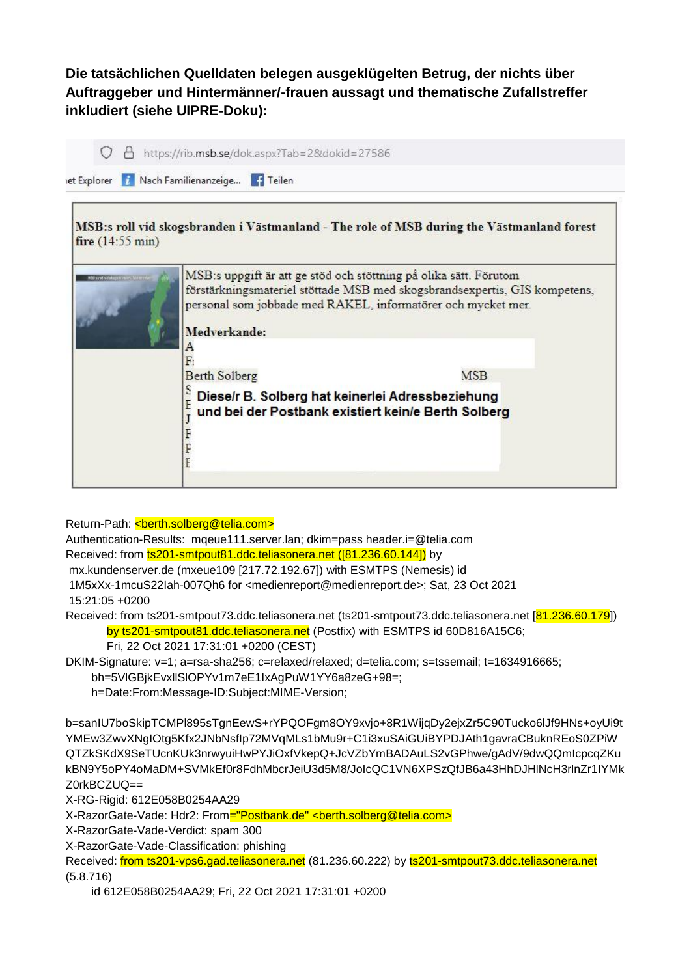## **Die tatsächlichen Quelldaten belegen ausgeklügelten Betrug, der nichts über Auftraggeber und Hintermänner/-frauen aussagt und thematische Zufallstreffer inkludiert (siehe UIPRE-Doku):**

| fire $(14:55 \text{ min})$ |                        | MSB:s roll vid skogsbranden i Västmanland - The role of MSB during the Västmanland forest                                                                                                                       |
|----------------------------|------------------------|-----------------------------------------------------------------------------------------------------------------------------------------------------------------------------------------------------------------|
|                            | Medverkande:<br>А<br>F | MSB:s uppgift är att ge stöd och stöttning på olika sätt. Förutom<br>förstärkningsmateriel stöttade MSB med skogsbrandsexpertis, GIS kompetens,<br>personal som jobbade med RAKEL, informatörer och mycket mer. |
|                            | <b>Berth Solberg</b>   | <b>MSB</b>                                                                                                                                                                                                      |
|                            | e<br>E<br>F            | Diese/r B. Solberg hat keinerlei Adressbeziehung<br>und bei der Postbank existiert kein/e Berth Solberg                                                                                                         |

Return-Path: <br />
<br />
konth.solberg@telia.com>

Authentication-Results: mqeue111.server.lan; dkim=pass header.i=@telia.com

Received: from ts201-smtpout81.ddc.teliasonera.net ([81.236.60.144]) by

mx.kundenserver.de (mxeue109 [217.72.192.67]) with ESMTPS (Nemesis) id

1M5xXx-1mcuS22Iah-007Qh6 for <medienreport@medienreport.de>; Sat, 23 Oct 2021

15:21:05 +0200

Received: from ts201-smtpout73.ddc.teliasonera.net (ts201-smtpout73.ddc.teliasonera.net [81.236.60.179]) by ts201-smtpout81.ddc.teliasonera.net (Postfix) with ESMTPS id 60D816A15C6;

Fri, 22 Oct 2021 17:31:01 +0200 (CEST)

DKIM-Signature: v=1; a=rsa-sha256; c=relaxed/relaxed; d=telia.com; s=tssemail; t=1634916665;

bh=5VlGBjkEvxllSlOPYv1m7eE1IxAgPuW1YY6a8zeG+98=;

h=Date:From:Message-ID:Subject:MIME-Version;

b=sanIU7boSkipTCMPl895sTgnEewS+rYPQOFgm8OY9xvjo+8R1WijqDy2ejxZr5C90Tucko6lJf9HNs+oyUi9t YMEw3ZwvXNgIOtg5Kfx2JNbNsfIp72MVqMLs1bMu9r+C1i3xuSAiGUiBYPDJAth1gavraCBuknREoS0ZPiW QTZkSKdX9SeTUcnKUk3nrwyuiHwPYJiOxfVkepQ+JcVZbYmBADAuLS2vGPhwe/gAdV/9dwQQmIcpcqZKu kBN9Y5oPY4oMaDM+SVMkEf0r8FdhMbcrJeiU3d5M8/JoIcQC1VN6XPSzQfJB6a43HhDJHlNcH3rlnZr1IYMk Z0rkBCZUQ==

X-RG-Rigid: 612E058B0254AA29

X-RazorGate-Vade: Hdr2: From="Postbank.de" <br/>>berth.solberg@telia.com>

X-RazorGate-Vade-Verdict: spam 300

X-RazorGate-Vade-Classification: phishing

Received: from ts201-vps6.gad.teliasonera.net (81.236.60.222) by ts201-smtpout73.ddc.teliasonera.net (5.8.716)

id 612E058B0254AA29; Fri, 22 Oct 2021 17:31:01 +0200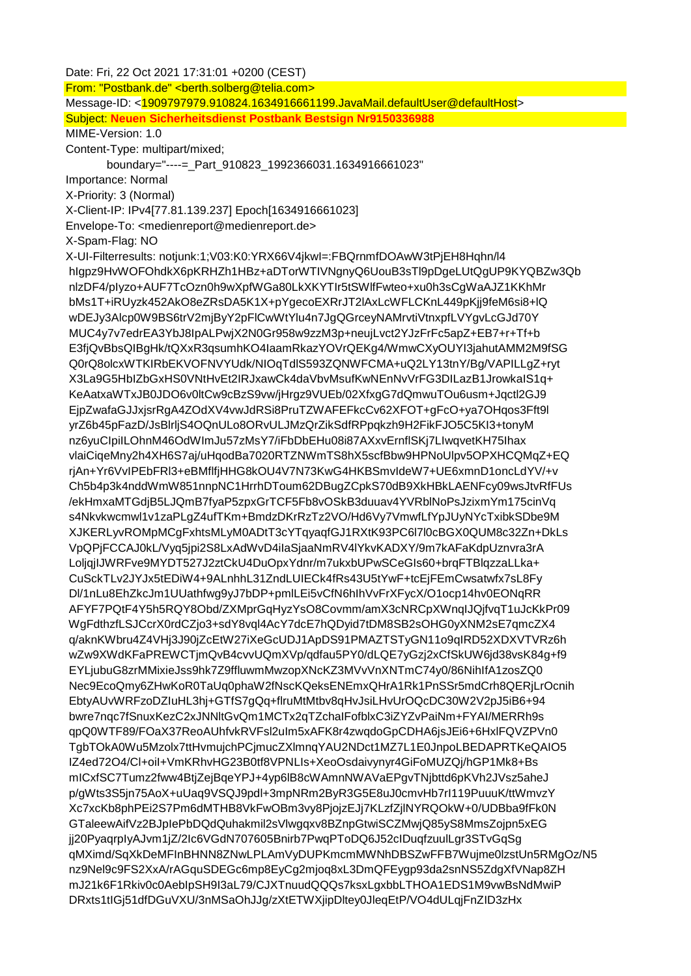Date: Fri, 22 Oct 2021 17:31:01 +0200 (CEST) From: "Postbank.de" <berth.solberg@telia.com> Message-ID: <1909797979.910824.1634916661199.JavaMail.defaultUser@defaultHost> Subject: **Neuen Sicherheitsdienst Postbank Bestsign Nr9150336988** MIME-Version: 1.0 Content-Type: multipart/mixed; boundary="----=\_Part\_910823\_1992366031.1634916661023" Importance: Normal X-Priority: 3 (Normal) X-Client-IP: IPv4[77.81.139.237] Epoch[1634916661023] Envelope-To: <medienreport@medienreport.de> X-Spam-Flag: NO X-UI-Filterresults: notjunk:1;V03:K0:YRX66V4jkwI=:FBQrnmfDOAwW3tPjEH8Hqhn/l4 hIgpz9HvWOFOhdkX6pKRHZh1HBz+aDTorWTIVNgnyQ6UouB3sTl9pDgeLUtQgUP9KYQBZw3Qb nlzDF4/pIyzo+AUF7TcOzn0h9wXpfWGa80LkXKYTIr5tSWlfFwteo+xu0h3sCgWaAJZ1KKhMr bMs1T+iRUyzk452AkO8eZRsDA5K1X+pYgecoEXRrJT2lAxLcWFLCKnL449pKjj9feM6si8+lQ wDEJy3Alcp0W9BS6trV2mjByY2pFlCwWtYlu4n7JgQGrceyNAMrvtiVtnxpfLVYgvLcGJd70Y MUC4y7v7edrEA3YbJ8IpALPwjX2N0Gr958w9zzM3p+neujLvct2YJzFrFc5apZ+EB7+r+Tf+b E3fjQvBbsQIBgHk/tQXxR3qsumhKO4IaamRkazYOVrQEKg4/WmwCXyOUYI3jahutAMM2M9fSG Q0rQ8olcxWTKIRbEKVOFNVYUdk/NIOqTdlS593ZQNWFCMA+uQ2LY13tnY/Bg/VAPILLgZ+ryt X3La9G5HbIZbGxHS0VNtHvEt2IRJxawCk4daVbvMsufKwNEnNvVrFG3DILazB1JrowkaIS1q+ KeAatxaWTxJB0JDO6v0ltCw9cBzS9vw/jHrgz9VUEb/02XfxgG7dQmwuTOu6usm+Jqctl2GJ9 EjpZwafaGJJxjsrRgA4ZOdXV4vwJdRSi8PruTZWAFEFkcCv62XFOT+gFcO+ya7OHqos3Fft9l yrZ6b45pFazD/JsBlrljS4OQnULo8ORvULJMzQrZikSdfRPpqkzh9H2FikFJO5C5KI3+tonyM nz6yuCIpiILOhnM46OdWImJu57zMsY7/iFbDbEHu08i87AXxvErnflSKj7LIwqvetKH75Ihax vlaiCiqeMny2h4XH6S7aj/uHqodBa7020RTZNWmTS8hX5scfBbw9HPNoUlpv5OPXHCQMqZ+EQ rjAn+Yr6VvIPEbFRl3+eBMflfjHHG8kOU4V7N73KwG4HKBSmvIdeW7+UE6xmnD1oncLdYV/+v Ch5b4p3k4nddWmW851nnpNC1HrrhDToum62DBugZCpkS70dB9XkHBkLAENFcy09wsJtvRfFUs /ekHmxaMTGdjB5LJQmB7fyaP5zpxGrTCF5Fb8vOSkB3duuav4YVRblNoPsJzixmYm175cinVq s4Nkvkwcmwl1v1zaPLgZ4ufTKm+BmdzDKrRzTz2VO/Hd6Vy7VmwfLfYpJUyNYcTxibkSDbe9M XJKERLyvROMpMCgFxhtsMLyM0ADtT3cYTqyaqfGJ1RXtK93PC6l7l0cBGX0QUM8c32Zn+DkLs VpQPjFCCAJ0kL/Vyq5jpi2S8LxAdWvD4iIaSjaaNmRV4lYkvKADXY/9m7kAFaKdpUznvra3rA LoljqjIJWRFve9MYDT527J2ztCkU4DuOpxYdnr/m7ukxbUPwSCeGIs60+brqFTBlqzzaLLka+ CuSckTLv2JYJx5tEDiW4+9ALnhhL31ZndLUIECk4fRs43U5tYwF+tcEjFEmCwsatwfx7sL8Fy Dl/1nLu8EhZkcJm1UUathfwg9yJ7bDP+pmlLEi5vCfN6hIhVvFrXFycX/O1ocp14hv0EONqRR AFYF7PQtF4Y5h5RQY8Obd/ZXMprGqHyzYsO8Covmm/amX3cNRCpXWnqIJQjfvqT1uJcKkPr09 WgFdthzfLSJCcrX0rdCZjo3+sdY8vql4AcY7dcE7hQDyid7tDM8SB2sOHG0yXNM2sE7qmcZX4 q/aknKWbru4Z4VHj3J90jZcEtW27iXeGcUDJ1ApDS91PMAZTSTyGN11o9qIRD52XDXVTVRz6h wZw9XWdKFaPREWCTjmQvB4cvvUQmXVp/qdfau5PY0/dLQE7yGzj2xCfSkUW6jd38vsK84g+f9 EYLjubuG8zrMMixieJss9hk7Z9ffluwmMwzopXNcKZ3MVvVnXNTmC74y0/86NihIfA1zosZQ0 Nec9EcoQmy6ZHwKoR0TaUq0phaW2fNscKQeksENEmxQHrA1Rk1PnSSr5mdCrh8QERjLrOcnih EbtyAUvWRFzoDZIuHL3hj+GTfS7gQq+flruMtMtbv8qHvJsiLHvUrOQcDC30W2V2pJ5iB6+94 bwre7nqc7fSnuxKezC2xJNNltGvQm1MCTx2qTZchaIFofblxC3iZYZvPaiNm+FYAI/MERRh9s qpQ0WTF89/FOaX37ReoAUhfvkRVFsl2uIm5xAFK8r4zwqdoGpCDHA6jsJEi6+6HxlFQVZPVn0 TgbTOkA0Wu5Mzolx7ttHvmujchPCjmucZXlmnqYAU2NDct1MZ7L1E0JnpoLBEDAPRTKeQAIO5 IZ4ed72O4/Cl+oiI+VmKRhvHG23B0tf8VPNLIs+XeoOsdaivynyr4GiFoMUZQj/hGP1Mk8+Bs mICxfSC7Tumz2fww4BtjZejBqeYPJ+4yp6lB8cWAmnNWAVaEPgvTNjbttd6pKVh2JVsz5aheJ p/gWts3S5jn75AoX+uUaq9VSQJ9pdl+3mpNRm2ByR3G5E8uJ0cmvHb7rI119PuuuK/ttWmvzY Xc7xcKb8phPEi2S7Pm6dMTHB8VkFwOBm3vy8PjojzEJj7KLzfZjlNYRQOkW+0/UDBba9fFk0N GTaleewAifVz2BJpIePbDQdQuhakmil2sVlwgqxv8BZnpGtwiSCZMwjQ85yS8MmsZojpn5xEG jj20PyaqrpIyAJvm1jZ/2Ic6VGdN707605Bnirb7PwqPToDQ6J52cIDuqfzuulLgr3STvGqSg qMXimd/SqXkDeMFInBHNN8ZNwLPLAmVyDUPKmcmMWNhDBSZwFFB7Wujme0lzstUn5RMgOz/N5 nz9Nel9c9FS2XxA/rAGquSDEGc6mp8EyCg2mjoq8xL3DmQFEygp93da2snNS5ZdgXfVNap8ZH mJ21k6F1Rkiv0c0AebIpSH9I3aL79/CJXTnuudQQQs7ksxLgxbbLTHOA1EDS1M9vwBsNdMwiP DRxts1tIGj51dfDGuVXU/3nMSaOhJJg/zXtETWXjipDltey0JleqEtP/VO4dULqjFnZID3zHx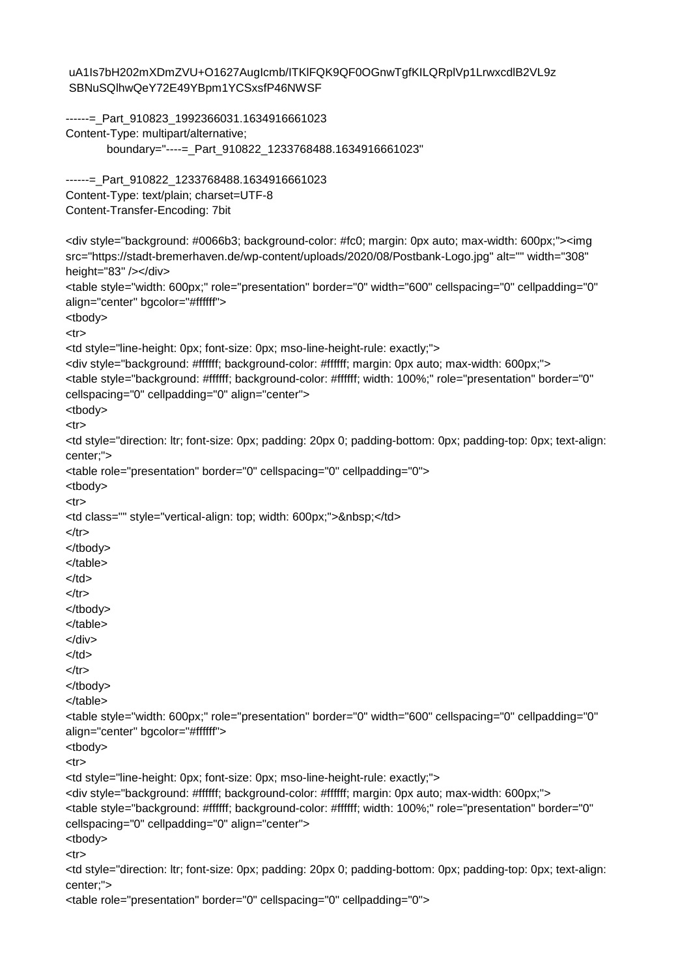```
uA1Is7bH202mXDmZVU+O1627AugIcmb/ITKlFQK9QF0OGnwTgfKILQRplVp1LrwxcdlB2VL9z
SBNuSQlhwQeY72E49YBpm1YCSxsfP46NWSF
------=_Part_910823_1992366031.1634916661023
Content-Type: multipart/alternative;
        boundary="----=_Part_910822_1233768488.1634916661023"
------= Part 910822 1233768488.1634916661023
Content-Type: text/plain; charset=UTF-8
Content-Transfer-Encoding: 7bit
<div style="background: #0066b3; background-color: #fc0; margin: 0px auto; max-width: 600px;"><img
src="https://stadt-bremerhaven.de/wp-content/uploads/2020/08/Postbank-Logo.jpg" alt="" width="308"
height="83" /></div>
<table style="width: 600px;" role="presentation" border="0" width="600" cellspacing="0" cellpadding="0"
align="center" bgcolor="#ffffff">
<tbody>
<tr><td style="line-height: 0px; font-size: 0px; mso-line-height-rule: exactly;">
<div style="background: #ffffff; background-color: #ffffff; margin: 0px auto; max-width: 600px;">
<table style="background: #ffffff; background-color: #ffffff; width: 100%;" role="presentation" border="0"
cellspacing="0" cellpadding="0" align="center">
<tbody>
<tr><td style="direction: ltr; font-size: 0px; padding: 20px 0; padding-bottom: 0px; padding-top: 0px; text-align:
center;">
<table role="presentation" border="0" cellspacing="0" cellpadding="0">
<tbody>
<tr><td class="" style="vertical-align: top; width: 600px;">&nbsp;</td>
</tr></tbody>
</table>
</td></tr></tbody>
</table>
</div>
</td>
</tr></tbody>
</table>
<table style="width: 600px;" role="presentation" border="0" width="600" cellspacing="0" cellpadding="0"
align="center" bgcolor="#ffffff">
<tbody>
<tr><td style="line-height: 0px; font-size: 0px; mso-line-height-rule: exactly;">
<div style="background: #ffffff; background-color: #ffffff; margin: 0px auto; max-width: 600px;">
<table style="background: #ffffff; background-color: #ffffff; width: 100%;" role="presentation" border="0"
cellspacing="0" cellpadding="0" align="center">
<tbody>
<tr><td style="direction: ltr; font-size: 0px; padding: 20px 0; padding-bottom: 0px; padding-top: 0px; text-align:
center;">
<table role="presentation" border="0" cellspacing="0" cellpadding="0">
```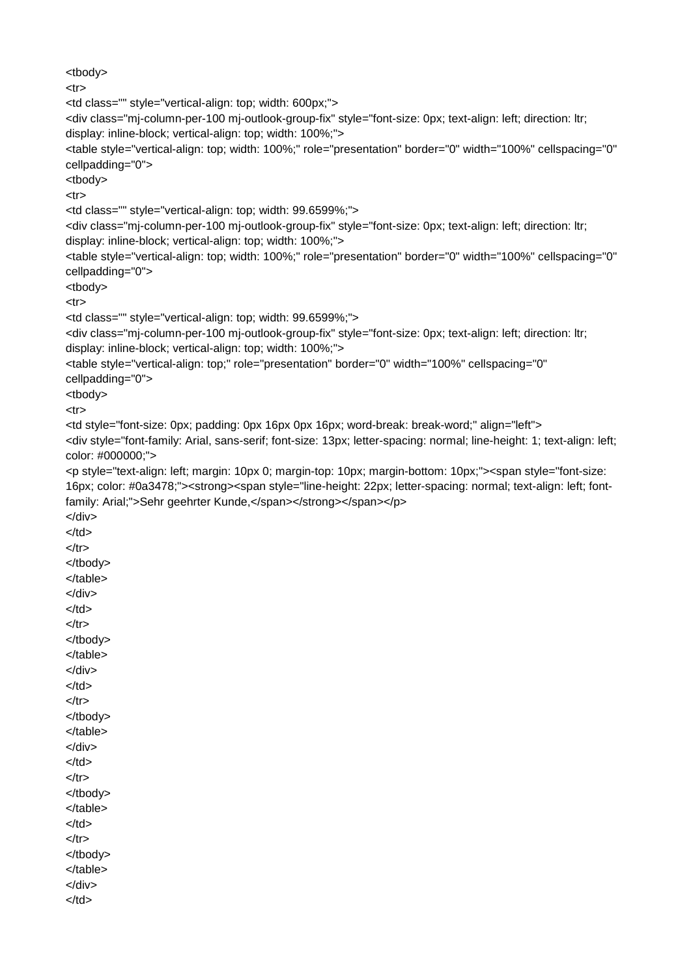<tbody>  $<$ tr $>$ <td class="" style="vertical-align: top; width: 600px;"> <div class="mj-column-per-100 mj-outlook-group-fix" style="font-size: 0px; text-align: left; direction: ltr; display: inline-block; vertical-align: top; width: 100%;"> <table style="vertical-align: top; width: 100%;" role="presentation" border="0" width="100%" cellspacing="0" cellpadding="0"> <tbody>  $<$ tr $>$ <td class="" style="vertical-align: top; width: 99.6599%;"> <div class="mj-column-per-100 mj-outlook-group-fix" style="font-size: 0px; text-align: left; direction: ltr; display: inline-block; vertical-align: top; width: 100%;"> <table style="vertical-align: top; width: 100%;" role="presentation" border="0" width="100%" cellspacing="0" cellpadding="0"> <tbody>  $<$ tr $>$ <td class="" style="vertical-align: top; width: 99.6599%;"> <div class="mj-column-per-100 mj-outlook-group-fix" style="font-size: 0px; text-align: left; direction: ltr; display: inline-block; vertical-align: top; width: 100%;"> <table style="vertical-align: top;" role="presentation" border="0" width="100%" cellspacing="0" cellpadding="0"> <tbody> <tr> <td style="font-size: 0px; padding: 0px 16px 0px 16px; word-break: break-word;" align="left"> <div style="font-family: Arial, sans-serif; font-size: 13px; letter-spacing: normal; line-height: 1; text-align: left; color: #000000;"> <p style="text-align: left; margin: 10px 0; margin-top: 10px; margin-bottom: 10px;"><span style="font-size: 16px; color: #0a3478;"><strong><span style="line-height: 22px; letter-spacing: normal; text-align: left; fontfamily: Arial;">Sehr geehrter Kunde,</span></strong></span></p> </div>  $<$ /td $>$  $<$ /tr $>$ </tbody> </table> </div>  $<$ /td $>$  $<$ /tr $>$ </tbody> </table> </div>  $<$ /td $>$  $<$ /tr $>$ </tbody> </table> </div> </td>  $<$ /tr $>$ </tbody> </table> </td>  $<$ /tr $>$ </tbody> </table> </div>  $<$ /td $>$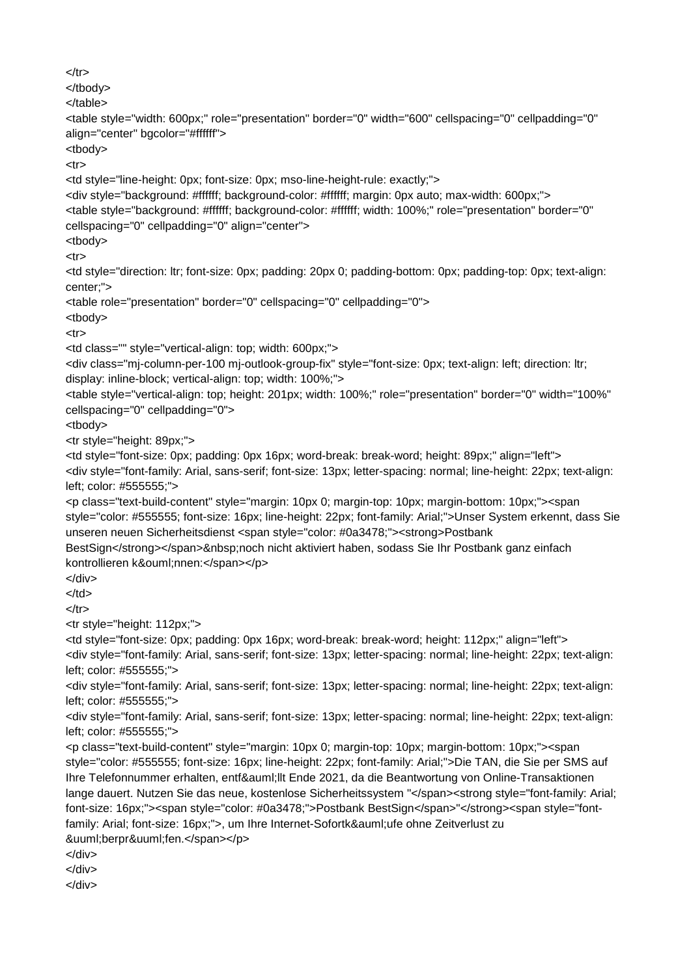```
</tr></tbody>
</table>
<table style="width: 600px;" role="presentation" border="0" width="600" cellspacing="0" cellpadding="0"
align="center" bgcolor="#ffffff">
<tbody>
<tr><td style="line-height: 0px; font-size: 0px; mso-line-height-rule: exactly;">
<div style="background: #ffffff; background-color: #ffffff; margin: 0px auto; max-width: 600px;">
<table style="background: #ffffff; background-color: #ffffff; width: 100%;" role="presentation" border="0"
cellspacing="0" cellpadding="0" align="center">
<tbody>
<tr><td style="direction: ltr; font-size: 0px; padding: 20px 0; padding-bottom: 0px; padding-top: 0px; text-align:
center;">
<table role="presentation" border="0" cellspacing="0" cellpadding="0">
<tbody>
<tr><td class="" style="vertical-align: top; width: 600px;">
<div class="mj-column-per-100 mj-outlook-group-fix" style="font-size: 0px; text-align: left; direction: ltr;
display: inline-block; vertical-align: top; width: 100%;">
<table style="vertical-align: top; height: 201px; width: 100%;" role="presentation" border="0" width="100%"
cellspacing="0" cellpadding="0">
<tbody>
<tr style="height: 89px;">
<td style="font-size: 0px; padding: 0px 16px; word-break: break-word; height: 89px;" align="left">
<div style="font-family: Arial, sans-serif; font-size: 13px; letter-spacing: normal; line-height: 22px; text-align:
left; color: #555555;">
<p class="text-build-content" style="margin: 10px 0; margin-top: 10px; margin-bottom: 10px;"><span
style="color: #555555; font-size: 16px; line-height: 22px; font-family: Arial;">Unser System erkennt, dass Sie
unseren neuen Sicherheitsdienst <span style="color: #0a3478;"><strong>Postbank
BestSign</strong></span>&nbsp;noch nicht aktiviert haben, sodass Sie Ihr Postbank ganz einfach
kontrollieren können:</span></p>
</div>
</td>
</tr><tr style="height: 112px;">
<td style="font-size: 0px; padding: 0px 16px; word-break: break-word; height: 112px;" align="left">
<div style="font-family: Arial, sans-serif; font-size: 13px; letter-spacing: normal; line-height: 22px; text-align:
left; color: #555555;">
<div style="font-family: Arial, sans-serif; font-size: 13px; letter-spacing: normal; line-height: 22px; text-align:
left; color: #555555;">
<div style="font-family: Arial, sans-serif; font-size: 13px; letter-spacing: normal; line-height: 22px; text-align:
left; color: #555555;">
<p class="text-build-content" style="margin: 10px 0; margin-top: 10px; margin-bottom: 10px;"><span
style="color: #555555; font-size: 16px; line-height: 22px; font-family: Arial;">Die TAN, die Sie per SMS auf
Ihre Telefonnummer erhalten, entfällt Ende 2021, da die Beantwortung von Online-Transaktionen
lange dauert. Nutzen Sie das neue, kostenlose Sicherheitssystem "</span><strong style="font-family: Arial;
font-size: 16px;"><span style="color: #0a3478;">Postbank BestSign</span>"</strong><span style="font-
family: Arial; font-size: 16px;">, um Ihre Internet-Sofortkäufe ohne Zeitverlust zu
überprüfen.</span></p>
</div>
</div>
</div>
```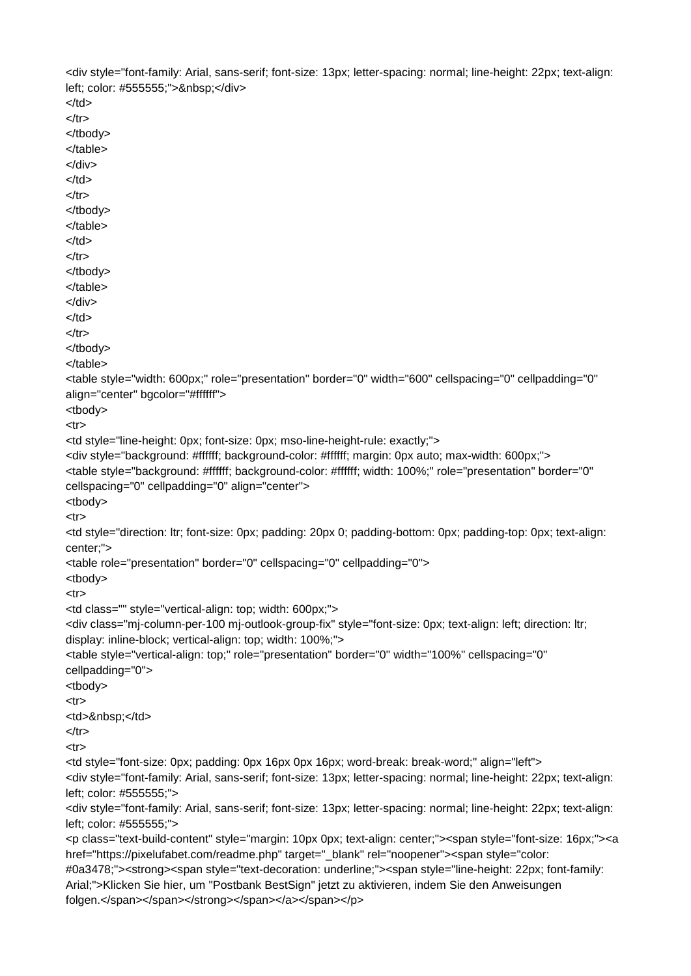<div style="font-family: Arial, sans-serif; font-size: 13px; letter-spacing: normal; line-height: 22px; text-align: left; color: #555555;"> </div>  $<$ /td $>$  $<$ /tr $>$ </tbody> </table> </div>  $<$ /td $>$  $<$ /tr $>$ </tbody> </table> </td>  $<$ /tr $>$ </tbody> </table> </div> </td>  $<$ /tr $>$ </tbody> </table> <table style="width: 600px;" role="presentation" border="0" width="600" cellspacing="0" cellpadding="0" align="center" bgcolor="#ffffff"> <tbody>  $<$ tr $>$ <td style="line-height: 0px; font-size: 0px; mso-line-height-rule: exactly;"> <div style="background: #ffffff; background-color: #ffffff; margin: 0px auto; max-width: 600px;"> <table style="background: #ffffff; background-color: #ffffff; width: 100%;" role="presentation" border="0" cellspacing="0" cellpadding="0" align="center"> <tbody> <tr> <td style="direction: ltr; font-size: 0px; padding: 20px 0; padding-bottom: 0px; padding-top: 0px; text-align: center;"> <table role="presentation" border="0" cellspacing="0" cellpadding="0"> <tbody>  $<$ tr $>$ <td class="" style="vertical-align: top; width: 600px;"> <div class="mj-column-per-100 mj-outlook-group-fix" style="font-size: 0px; text-align: left; direction: ltr; display: inline-block; vertical-align: top; width: 100%;"> <table style="vertical-align: top;" role="presentation" border="0" width="100%" cellspacing="0" cellpadding="0"> <tbody>  $<$ tr $>$ <td>&nbsp;</td>  $<$ /tr $>$  $<$ tr $>$ <td style="font-size: 0px; padding: 0px 16px 0px 16px; word-break: break-word;" align="left"> <div style="font-family: Arial, sans-serif; font-size: 13px; letter-spacing: normal; line-height: 22px; text-align: left; color: #555555;"> <div style="font-family: Arial, sans-serif; font-size: 13px; letter-spacing: normal; line-height: 22px; text-align: left; color: #555555;"> <p class="text-build-content" style="margin: 10px 0px; text-align: center;"><span style="font-size: 16px;"><a href="https://pixelufabet.com/readme.php" target="\_blank" rel="noopener"><span style="color: #0a3478;"><strong><span style="text-decoration: underline;"><span style="line-height: 22px; font-family: Arial;">Klicken Sie hier, um "Postbank BestSign" jetzt zu aktivieren, indem Sie den Anweisungen folgen.</span></span></span></span></span></p>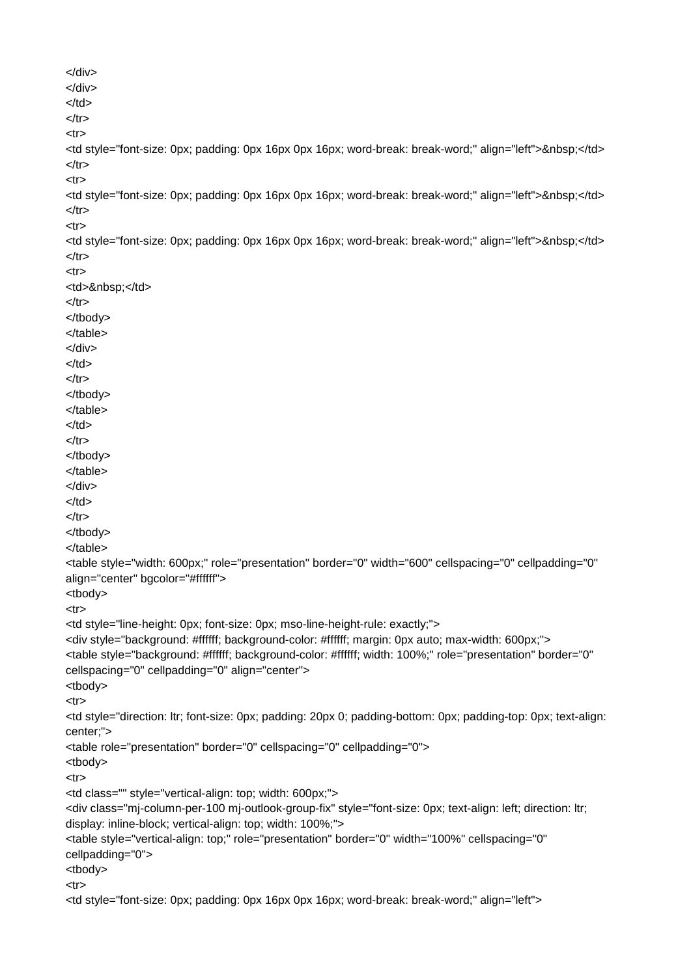```
</div>
</div>
</td>
</tr><tr><td style="font-size: 0px; padding: 0px 16px 0px 16px; word-break: break-word;" align="left">&nbsp;</td>
</tr><tr>
<td style="font-size: 0px; padding: 0px 16px 0px 16px; word-break: break-word;" align="left">&nbsp;</td>
</tr><tr><td style="font-size: 0px; padding: 0px 16px 0px 16px; word-break: break-word;" align="left">&nbsp;</td>
</tr>-tr\sim<td>&nbsp;</td>
</tr></tbody>
</table>
</div>
</td>
</tr></tbody>
</table>
</td></tr></tbody>
</table>
</div>
</td></tr></tbody>
</table>
<table style="width: 600px;" role="presentation" border="0" width="600" cellspacing="0" cellpadding="0"
align="center" bgcolor="#ffffff">
<tbody>
<tr><td style="line-height: 0px; font-size: 0px; mso-line-height-rule: exactly;">
<div style="background: #ffffff; background-color: #ffffff; margin: 0px auto; max-width: 600px;">
<table style="background: #ffffff; background-color: #ffffff; width: 100%;" role="presentation" border="0"
cellspacing="0" cellpadding="0" align="center">
<tbody>
<tr><td style="direction: ltr; font-size: 0px; padding: 20px 0; padding-bottom: 0px; padding-top: 0px; text-align:
center;">
<table role="presentation" border="0" cellspacing="0" cellpadding="0">
<tbody>
<tr><td class="" style="vertical-align: top; width: 600px;">
<div class="mj-column-per-100 mj-outlook-group-fix" style="font-size: 0px; text-align: left; direction: ltr;
display: inline-block; vertical-align: top; width: 100%;">
<table style="vertical-align: top;" role="presentation" border="0" width="100%" cellspacing="0"
cellpadding="0">
<tbody>
<tr><td style="font-size: 0px; padding: 0px 16px 0px 16px; word-break: break-word;" align="left">
```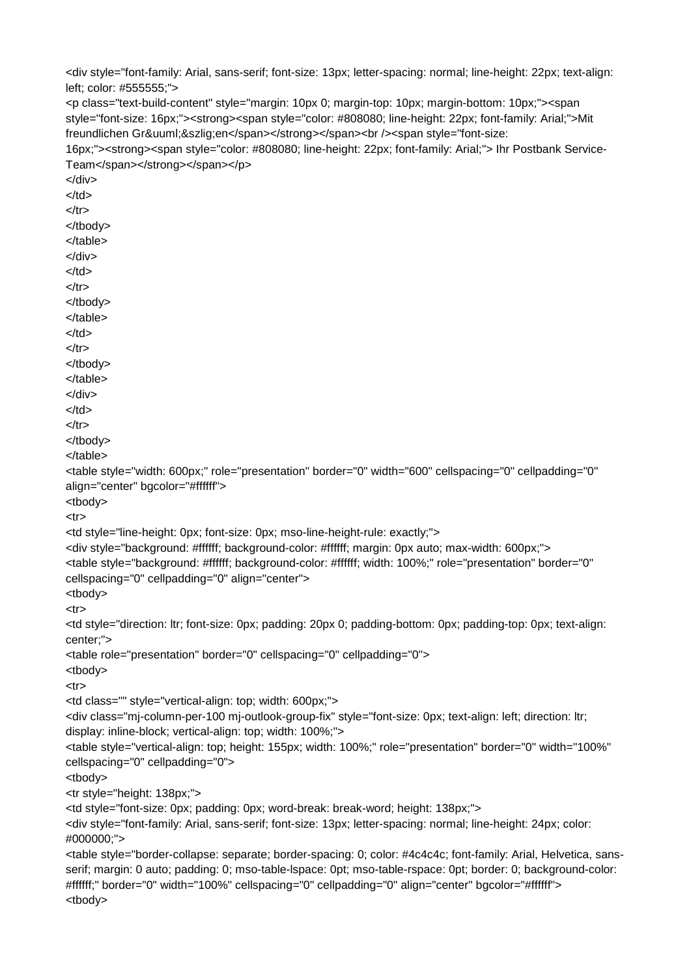<div style="font-family: Arial, sans-serif; font-size: 13px; letter-spacing: normal; line-height: 22px; text-align: left; color: #555555;"> <p class="text-build-content" style="margin: 10px 0; margin-top: 10px; margin-bottom: 10px;"><span style="font-size: 16px;"><strong><span style="color: #808080; line-height: 22px; font-family: Arial;">Mit freundlichen Grüßen</span></strong></span><br />br />><span style="font-size: 16px;"><strong><span style="color: #808080; line-height: 22px; font-family: Arial;"> Ihr Postbank Service- Team</span></strong></span></p> </div> </td>  $<$ /tr $>$ </tbody> </table> </div>  $<$ /td $>$  $<$ /tr $>$ </tbody> </table> </td>  $<$ /tr $>$ </tbody> </table> </div>  $<$ /td $>$  $<$ /tr $>$ </tbody> </table> <table style="width: 600px;" role="presentation" border="0" width="600" cellspacing="0" cellpadding="0" align="center" bgcolor="#ffffff"> <tbody>  $<$ tr $>$ <td style="line-height: 0px; font-size: 0px; mso-line-height-rule: exactly;"> <div style="background: #ffffff; background-color: #ffffff; margin: 0px auto; max-width: 600px;"> <table style="background: #ffffff; background-color: #ffffff; width: 100%;" role="presentation" border="0" cellspacing="0" cellpadding="0" align="center"> <tbody>  $<$ tr $>$ <td style="direction: ltr; font-size: 0px; padding: 20px 0; padding-bottom: 0px; padding-top: 0px; text-align: center;"> <table role="presentation" border="0" cellspacing="0" cellpadding="0"> <tbody> <tr> <td class="" style="vertical-align: top; width: 600px;"> <div class="mj-column-per-100 mj-outlook-group-fix" style="font-size: 0px; text-align: left; direction: ltr; display: inline-block; vertical-align: top; width: 100%;"> <table style="vertical-align: top; height: 155px; width: 100%;" role="presentation" border="0" width="100%" cellspacing="0" cellpadding="0"> <tbody> <tr style="height: 138px;"> <td style="font-size: 0px; padding: 0px; word-break: break-word; height: 138px;"> <div style="font-family: Arial, sans-serif; font-size: 13px; letter-spacing: normal; line-height: 24px; color: #000000;"> <table style="border-collapse: separate; border-spacing: 0; color: #4c4c4c; font-family: Arial, Helvetica, sans serif; margin: 0 auto; padding: 0; mso-table-lspace: 0pt; mso-table-rspace: 0pt; border: 0; background-color: #ffffff;" border="0" width="100%" cellspacing="0" cellpadding="0" align="center" bgcolor="#ffffff"> <tbody>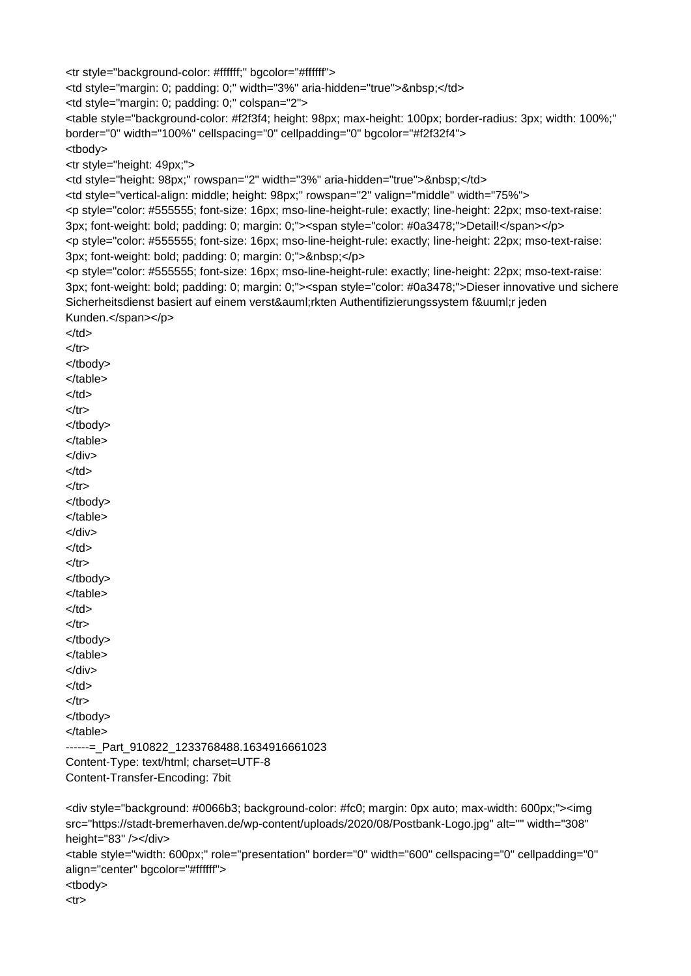<tr style="background-color: #ffffff;" bgcolor="#ffffff">

<td style="margin: 0; padding: 0;" width="3%" aria-hidden="true">&nbsp;</td>

<td style="margin: 0; padding: 0;" colspan="2">

<table style="background-color: #f2f3f4; height: 98px; max-height: 100px; border-radius: 3px; width: 100%;" border="0" width="100%" cellspacing="0" cellpadding="0" bgcolor="#f2f32f4"> <tbody>

<tr style="height: 49px;">

<td style="height: 98px;" rowspan="2" width="3%" aria-hidden="true">&nbsp;</td>

<td style="vertical-align: middle; height: 98px;" rowspan="2" valign="middle" width="75%">

<p style="color: #555555; font-size: 16px; mso-line-height-rule: exactly; line-height: 22px; mso-text-raise: 3px; font-weight: bold; padding: 0; margin: 0;"><span style="color: #0a3478;">Detail!</span></p>

<p style="color: #555555; font-size: 16px; mso-line-height-rule: exactly; line-height: 22px; mso-text-raise:  $3px$ ; font-weight: bold; padding: 0; margin: 0;" $\geq$   $\lt$ /p $\geq$ 

<p style="color: #555555; font-size: 16px; mso-line-height-rule: exactly; line-height: 22px; mso-text-raise: 3px; font-weight: bold; padding: 0; margin: 0;"><span style="color: #0a3478;">Dieser innovative und sichere Sicherheitsdienst basiert auf einem verstärkten Authentifizierungssystem für jeden Kunden.</span></p>

 $<$ /td $>$  $<$ /tr $>$ </tbody> </table>  $<$ /td $>$  $<$ /tr $>$ </tbody> </table> </div>  $<$ /td $>$  $<$ /tr $>$ </tbody> </table> </div> </td>  $<$ /tr $>$ </tbody> </table>  $<$ /td $>$  $<$ /tr $>$ </tbody> </table> </div>  $<$ /td $>$  $<$ /tr $>$ </tbody> </table> ------= Part 910822 1233768488.1634916661023 Content-Type: text/html; charset=UTF-8 Content-Transfer-Encoding: 7bit

<div style="background: #0066b3; background-color: #fc0; margin: 0px auto; max-width: 600px;"><img src="https://stadt-bremerhaven.de/wp-content/uploads/2020/08/Postbank-Logo.jpg" alt="" width="308" height="83" /></div> <table style="width: 600px;" role="presentation" border="0" width="600" cellspacing="0" cellpadding="0" align="center" bgcolor="#ffffff"> <tbody> <tr>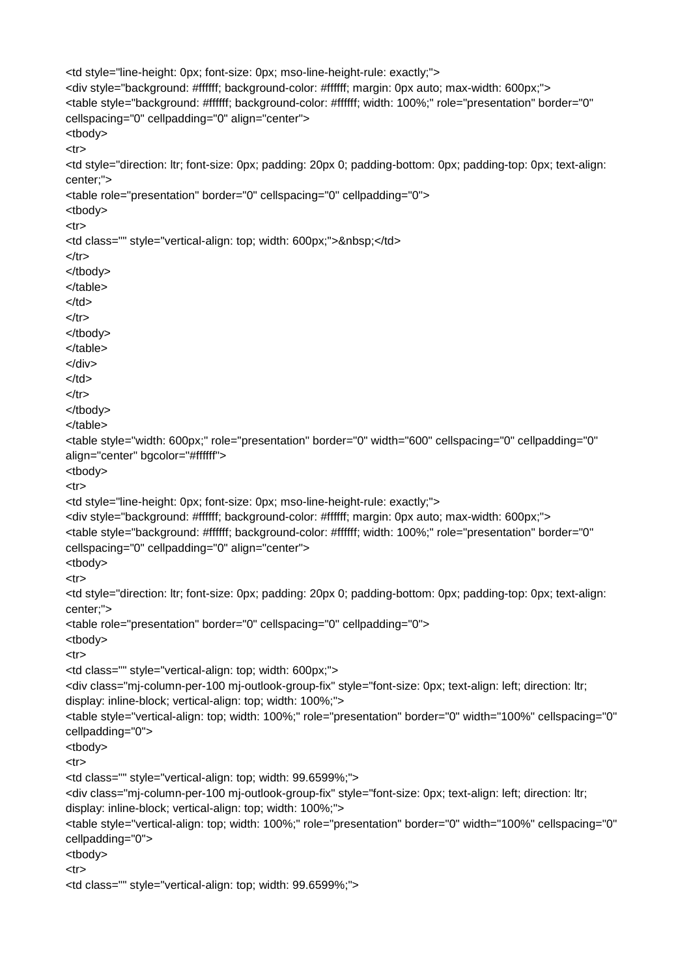```
<td style="line-height: 0px; font-size: 0px; mso-line-height-rule: exactly;">
<div style="background: #ffffff; background-color: #ffffff; margin: 0px auto; max-width: 600px;">
<table style="background: #ffffff; background-color: #ffffff; width: 100%;" role="presentation" border="0"
cellspacing="0" cellpadding="0" align="center">
<tbody>
<tr><td style="direction: ltr; font-size: 0px; padding: 20px 0; padding-bottom: 0px; padding-top: 0px; text-align:
center;">
<table role="presentation" border="0" cellspacing="0" cellpadding="0">
<tbody>
<tr><td class="" style="vertical-align: top; width: 600px;">&nbsp;</td>
</tr></tbody>
</table>
</td></tr></tbody>
</table>
</div>
</td>
</tr></tbody>
</table>
<table style="width: 600px;" role="presentation" border="0" width="600" cellspacing="0" cellpadding="0"
align="center" bgcolor="#ffffff">
<tbody>
<tr><td style="line-height: 0px; font-size: 0px; mso-line-height-rule: exactly;">
<div style="background: #ffffff; background-color: #ffffff; margin: 0px auto; max-width: 600px;">
<table style="background: #ffffff; background-color: #ffffff; width: 100%;" role="presentation" border="0"
cellspacing="0" cellpadding="0" align="center">
<tbody>
<tr><td style="direction: ltr; font-size: 0px; padding: 20px 0; padding-bottom: 0px; padding-top: 0px; text-align:
center;">
<table role="presentation" border="0" cellspacing="0" cellpadding="0">
<tbody>
<tr><td class="" style="vertical-align: top; width: 600px;">
<div class="mj-column-per-100 mj-outlook-group-fix" style="font-size: 0px; text-align: left; direction: ltr;
display: inline-block; vertical-align: top; width: 100%;">
<table style="vertical-align: top; width: 100%;" role="presentation" border="0" width="100%" cellspacing="0"
cellpadding="0">
<tbody>
<tr><td class="" style="vertical-align: top; width: 99.6599%;">
<div class="mj-column-per-100 mj-outlook-group-fix" style="font-size: 0px; text-align: left; direction: ltr;
display: inline-block; vertical-align: top; width: 100%;">
<table style="vertical-align: top; width: 100%;" role="presentation" border="0" width="100%" cellspacing="0"
cellpadding="0">
<tbody>
<tr><td class="" style="vertical-align: top; width: 99.6599%;">
```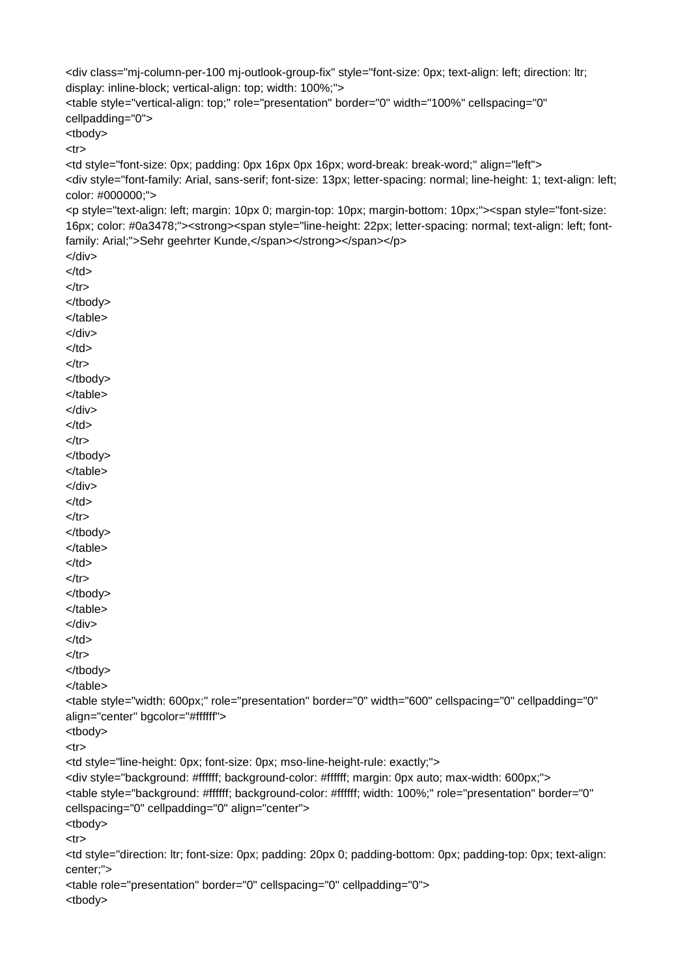```
<div class="mj-column-per-100 mj-outlook-group-fix" style="font-size: 0px; text-align: left; direction: ltr;
display: inline-block; vertical-align: top; width: 100%;">
<table style="vertical-align: top;" role="presentation" border="0" width="100%" cellspacing="0"
cellpadding="0">
<tbody>
<tr><td style="font-size: 0px; padding: 0px 16px 0px 16px; word-break: break-word;" align="left">
<div style="font-family: Arial, sans-serif; font-size: 13px; letter-spacing: normal; line-height: 1; text-align: left;
color: #000000;">
<p style="text-align: left; margin: 10px 0; margin-top: 10px; margin-bottom: 10px;"><span style="font-size:
16px; color: #0a3478;"><strong><span style="line-height: 22px; letter-spacing: normal; text-align: left; font-
family: Arial;">Sehr geehrter Kunde,</span></strong></span></p>
</div>
</td>
</tr></tbody>
</table>
</div>
</td>
</tr></tbody>
</table>
</div>
</td></tr></tbody>
</table>
</div>
</td></tr></tbody>
</table>
</td>
</tr></tbody>
</table>
</div>
</td></tr></tbody>
</table>
<table style="width: 600px;" role="presentation" border="0" width="600" cellspacing="0" cellpadding="0"
align="center" bgcolor="#ffffff">
<tbody>
<tr><td style="line-height: 0px; font-size: 0px; mso-line-height-rule: exactly;">
<div style="background: #ffffff; background-color: #ffffff; margin: 0px auto; max-width: 600px;">
<table style="background: #ffffff; background-color: #ffffff; width: 100%;" role="presentation" border="0"
cellspacing="0" cellpadding="0" align="center">
<tbody>
<tr><td style="direction: ltr; font-size: 0px; padding: 20px 0; padding-bottom: 0px; padding-top: 0px; text-align:
center;">
<table role="presentation" border="0" cellspacing="0" cellpadding="0">
```
<tbody>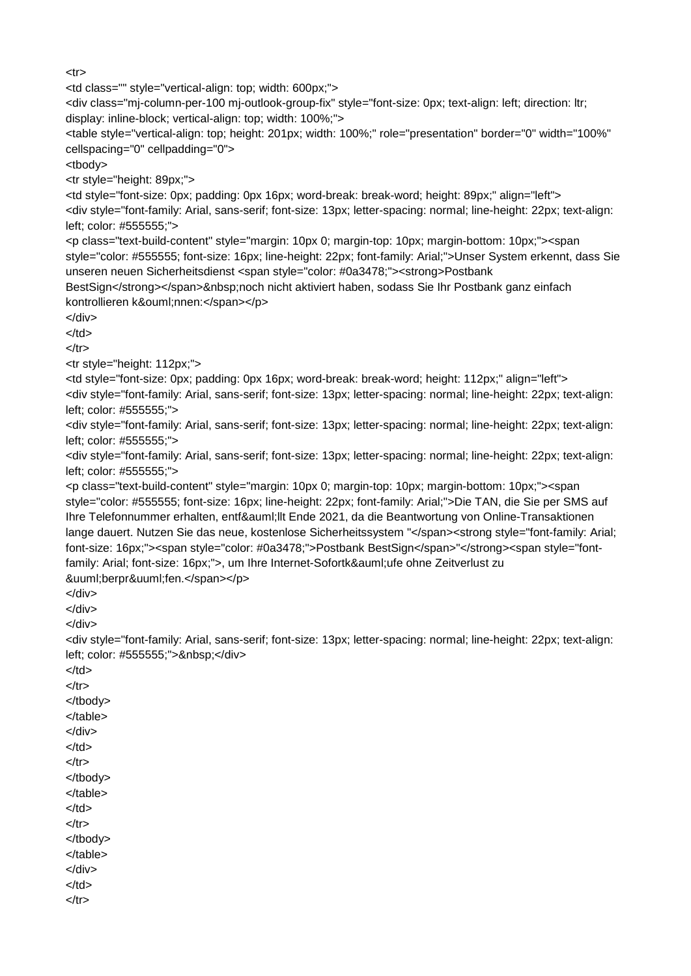$<$ tr $>$ 

<td class="" style="vertical-align: top; width: 600px;">

<div class="mj-column-per-100 mj-outlook-group-fix" style="font-size: 0px; text-align: left; direction: ltr; display: inline-block; vertical-align: top; width: 100%;">

<table style="vertical-align: top; height: 201px; width: 100%;" role="presentation" border="0" width="100%" cellspacing="0" cellpadding="0">

<tbody>

<tr style="height: 89px;">

<td style="font-size: 0px; padding: 0px 16px; word-break: break-word; height: 89px;" align="left"> <div style="font-family: Arial, sans-serif; font-size: 13px; letter-spacing: normal; line-height: 22px; text-align: left; color: #555555;">

<p class="text-build-content" style="margin: 10px 0; margin-top: 10px; margin-bottom: 10px;"><span style="color: #555555; font-size: 16px; line-height: 22px; font-family: Arial;">Unser System erkennt, dass Sie unseren neuen Sicherheitsdienst <span style="color: #0a3478;"><strong>Postbank

BestSign</strong></span>&nbsp;noch nicht aktiviert haben, sodass Sie Ihr Postbank ganz einfach kontrollieren können:</span></p>

</div>

 $<$ /td $>$ 

 $<$ /tr $>$ 

<tr style="height: 112px;">

<td style="font-size: 0px; padding: 0px 16px; word-break: break-word; height: 112px;" align="left"> <div style="font-family: Arial, sans-serif; font-size: 13px; letter-spacing: normal; line-height: 22px; text-align: left; color: #555555;">

<div style="font-family: Arial, sans-serif; font-size: 13px; letter-spacing: normal; line-height: 22px; text-align: left; color: #555555;">

<div style="font-family: Arial, sans-serif; font-size: 13px; letter-spacing: normal; line-height: 22px; text-align: left; color: #555555;">

<p class="text-build-content" style="margin: 10px 0; margin-top: 10px; margin-bottom: 10px;"><span style="color: #555555; font-size: 16px; line-height: 22px; font-family: Arial;">Die TAN, die Sie per SMS auf Ihre Telefonnummer erhalten, entfällt Ende 2021, da die Beantwortung von Online-Transaktionen lange dauert. Nutzen Sie das neue, kostenlose Sicherheitssystem "</span><strong style="font-family: Arial; font-size: 16px;"><span style="color: #0a3478;">Postbank BestSign</span>"</strong><span style="fontfamily: Arial; font-size: 16px;">, um Ihre Internet-Sofortkäufe ohne Zeitverlust zu überprüfen.</span></p>

</div>

</div>

</div>

<div style="font-family: Arial, sans-serif; font-size: 13px; letter-spacing: normal; line-height: 22px; text-align: left; color: #555555;"> </div>

 $<$ /td $>$  $<$ /tr $>$ 

</tbody> </table>

</div>

</td>

 $<$ /tr $>$ 

</tbody>

</table>

</td>

 $<$ /tr $>$ 

</tbody> </table>

</div>

</td>

 $<$ /tr $>$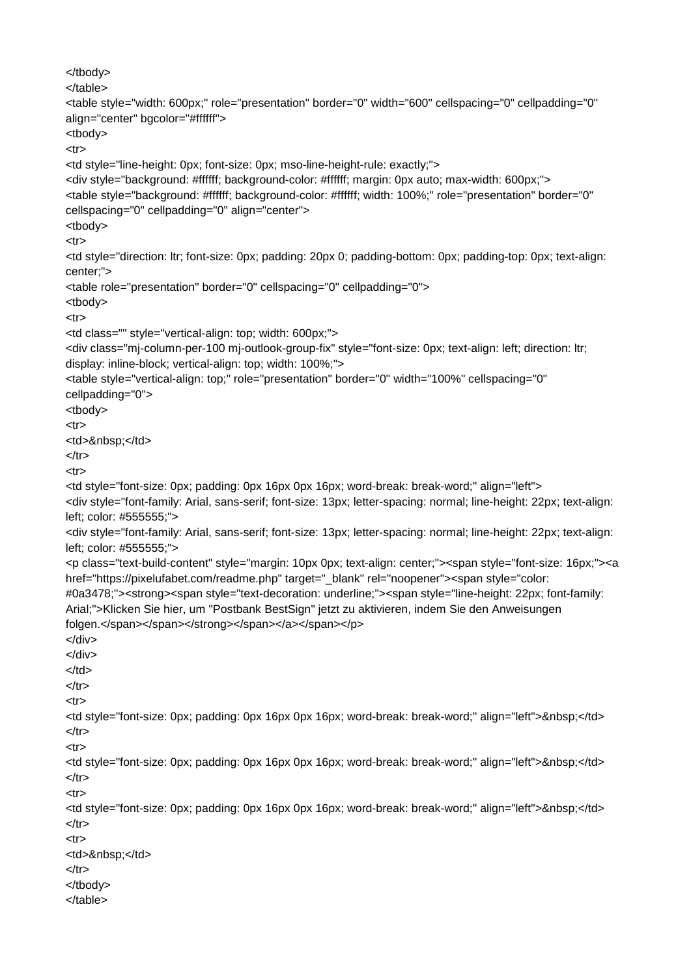```
</tbody>
</table>
<table style="width: 600px;" role="presentation" border="0" width="600" cellspacing="0" cellpadding="0"
align="center" bgcolor="#ffffff">
<tbody>
<tr><td style="line-height: 0px; font-size: 0px; mso-line-height-rule: exactly;">
<div style="background: #ffffff; background-color: #ffffff; margin: 0px auto; max-width: 600px;">
<table style="background: #ffffff; background-color: #ffffff; width: 100%;" role="presentation" border="0"
cellspacing="0" cellpadding="0" align="center">
<tbody>
<tr><td style="direction: ltr; font-size: 0px; padding: 20px 0; padding-bottom: 0px; padding-top: 0px; text-align:
center;">
<table role="presentation" border="0" cellspacing="0" cellpadding="0">
<tbody>
<tr><td class="" style="vertical-align: top; width: 600px;">
<div class="mj-column-per-100 mj-outlook-group-fix" style="font-size: 0px; text-align: left; direction: ltr;
display: inline-block; vertical-align: top; width: 100%;">
<table style="vertical-align: top;" role="presentation" border="0" width="100%" cellspacing="0"
cellpadding="0">
<tbody>
<tr><td>&nbsp:</td>
</tr><tr><td style="font-size: 0px; padding: 0px 16px 0px 16px; word-break: break-word;" align="left">
<div style="font-family: Arial, sans-serif; font-size: 13px; letter-spacing: normal; line-height: 22px; text-align:
left; color: #555555;">
<div style="font-family: Arial, sans-serif; font-size: 13px; letter-spacing: normal; line-height: 22px; text-align:
left; color: #555555;">
<p class="text-build-content" style="margin: 10px 0px; text-align: center;"><span style="font-size: 16px;"><a
href="https://pixelufabet.com/readme.php" target="_blank" rel="noopener"><span style="color:
#0a3478;"><strong><span style="text-decoration: underline;"><span style="line-height: 22px; font-family:
Arial;">Klicken Sie hier, um "Postbank BestSign" jetzt zu aktivieren, indem Sie den Anweisungen
folgen.</span></span></span></span></p>
</div>
</div>
</td>
</tr><tr><td style="font-size: 0px; padding: 0px 16px 0px 16px; word-break: break-word;" align="left">&nbsp;</td>
</tr><tr>
<td style="font-size: 0px; padding: 0px 16px 0px 16px; word-break: break-word;" align="left">&nbsp;</td>
</tr><tr><td style="font-size: 0px; padding: 0px 16px 0px 16px; word-break: break-word;" align="left">&nbsp;</td>
</tr><tr><td>&nbsp;</td>
</tr></tbody>
</table>
```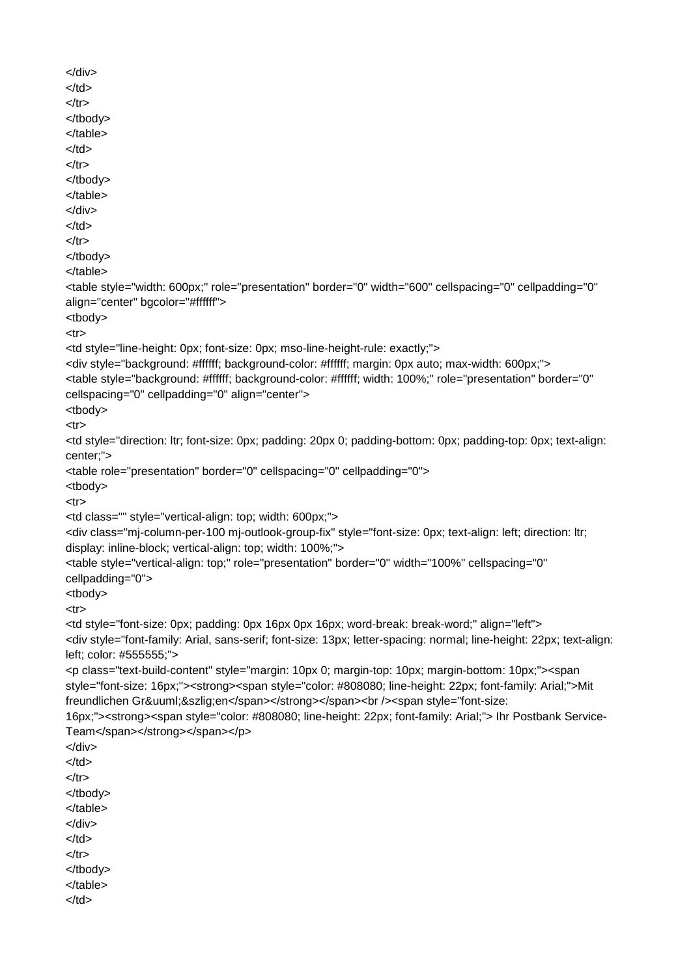```
</div>
</td>
</tr></tbody>
</table>
</td>
</tr></tbody>
</table>
</div>
</td>
</tr></tbody>
</table>
<table style="width: 600px;" role="presentation" border="0" width="600" cellspacing="0" cellpadding="0"
align="center" bgcolor="#ffffff">
<tbody>
<tr><td style="line-height: 0px; font-size: 0px; mso-line-height-rule: exactly;">
<div style="background: #ffffff; background-color: #ffffff; margin: 0px auto; max-width: 600px;">
<table style="background: #ffffff; background-color: #ffffff; width: 100%;" role="presentation" border="0"
cellspacing="0" cellpadding="0" align="center">
<tbody>
<tr><td style="direction: ltr; font-size: 0px; padding: 20px 0; padding-bottom: 0px; padding-top: 0px; text-align:
center;">
<table role="presentation" border="0" cellspacing="0" cellpadding="0">
<tbody>
<tr><td class="" style="vertical-align: top; width: 600px;">
<div class="mj-column-per-100 mj-outlook-group-fix" style="font-size: 0px; text-align: left; direction: ltr;
display: inline-block; vertical-align: top; width: 100%;">
<table style="vertical-align: top;" role="presentation" border="0" width="100%" cellspacing="0"
cellpadding="0">
<tbody>
<tr><td style="font-size: 0px; padding: 0px 16px 0px 16px; word-break: break-word;" align="left">
<div style="font-family: Arial, sans-serif; font-size: 13px; letter-spacing: normal; line-height: 22px; text-align:
left; color: #555555;">
<p class="text-build-content" style="margin: 10px 0; margin-top: 10px; margin-bottom: 10px;"><span
style="font-size: 16px;"><strong><span style="color: #808080; line-height: 22px; font-family: Arial;">Mit
freundlichen Grüßen</span></strong></span><br />>>/>><span style="font-size:
16px;"><strong><span style="color: #808080; line-height: 22px; font-family: Arial;"> Ihr Postbank Service- Team</span></strong></span></p>
</div>
</td>
</tr></tbody>
</table>
</div>
</td>
</tr></tbody>
</table>
</td>
```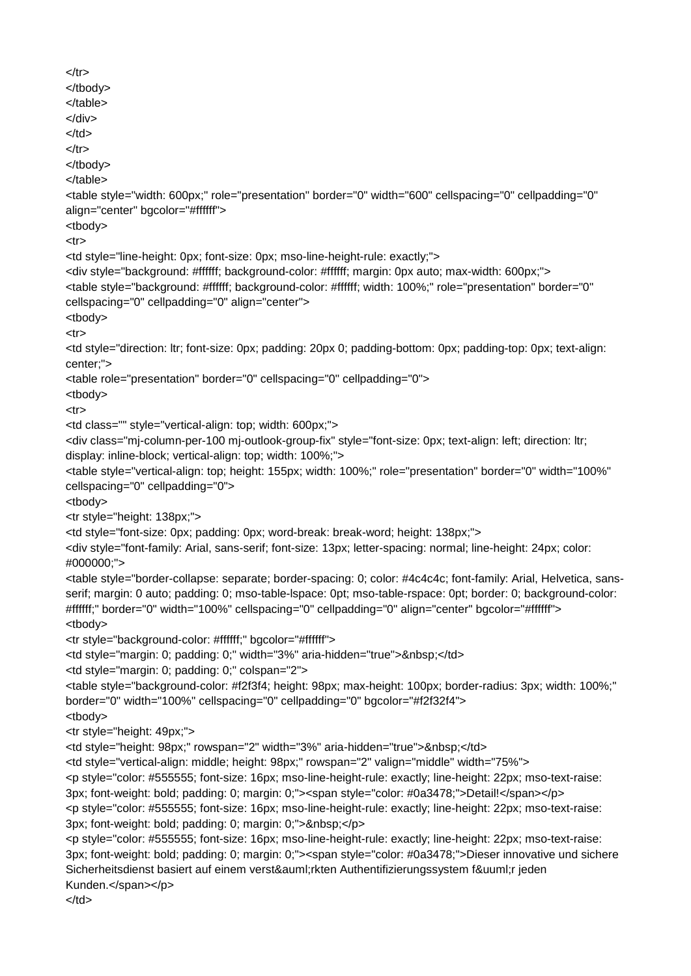```
</tr></tbody>
</table>
</div>
</td>
</tr></tbody>
</table>
<table style="width: 600px;" role="presentation" border="0" width="600" cellspacing="0" cellpadding="0"
align="center" bgcolor="#ffffff">
<tbody>
<tr><td style="line-height: 0px; font-size: 0px; mso-line-height-rule: exactly;">
<div style="background: #ffffff; background-color: #ffffff; margin: 0px auto; max-width: 600px;">
<table style="background: #ffffff; background-color: #ffffff; width: 100%;" role="presentation" border="0"
cellspacing="0" cellpadding="0" align="center">
<tbody>
<tr><td style="direction: ltr; font-size: 0px; padding: 20px 0; padding-bottom: 0px; padding-top: 0px; text-align:
center;">
<table role="presentation" border="0" cellspacing="0" cellpadding="0">
<tbody>
<tr><td class="" style="vertical-align: top; width: 600px;">
<div class="mj-column-per-100 mj-outlook-group-fix" style="font-size: 0px; text-align: left; direction: ltr;
display: inline-block; vertical-align: top; width: 100%;">
<table style="vertical-align: top; height: 155px; width: 100%;" role="presentation" border="0" width="100%"
cellspacing="0" cellpadding="0">
<tbody>
<tr style="height: 138px;">
<td style="font-size: 0px; padding: 0px; word-break: break-word; height: 138px;">
<div style="font-family: Arial, sans-serif; font-size: 13px; letter-spacing: normal; line-height: 24px; color:
#000000;">
<table style="border-collapse: separate; border-spacing: 0; color: #4c4c4c; font-family: Arial, Helvetica, sans- serif; margin: 0 auto; padding: 0; mso-table-lspace: 0pt; mso-table-rspace: 0pt; border: 0; background-color:
#ffffff;" border="0" width="100%" cellspacing="0" cellpadding="0" align="center" bgcolor="#ffffff">
<tbody>
<tr style="background-color: #ffffff;" bgcolor="#ffffff">
<td style="margin: 0; padding: 0;" width="3%" aria-hidden="true">&nbsp;</td>
<td style="margin: 0; padding: 0;" colspan="2">
<table style="background-color: #f2f3f4; height: 98px; max-height: 100px; border-radius: 3px; width: 100%;"
border="0" width="100%" cellspacing="0" cellpadding="0" bgcolor="#f2f32f4">
<tbody>
<tr style="height: 49px;">
<td style="height: 98px;" rowspan="2" width="3%" aria-hidden="true">&nbsp;</td>
<td style="vertical-align: middle; height: 98px;" rowspan="2" valign="middle" width="75%">
<p style="color: #555555; font-size: 16px; mso-line-height-rule: exactly; line-height: 22px; mso-text-raise:
3px; font-weight: bold; padding: 0; margin: 0;"><span style="color: #0a3478;">Detail!</span></p>
<p style="color: #555555; font-size: 16px; mso-line-height-rule: exactly; line-height: 22px; mso-text-raise:
3px; font-weight: bold; padding: 0; margin: 0;"> </p>
<p style="color: #555555; font-size: 16px; mso-line-height-rule: exactly; line-height: 22px; mso-text-raise:
3px; font-weight: bold; padding: 0; margin: 0;"><span style="color: #0a3478;">Dieser innovative und sichere
Sicherheitsdienst basiert auf einem verst&auml:rkten Authentifizierungssystem f&uuml:r jeden
Kunden.</span></p>
</td>
```